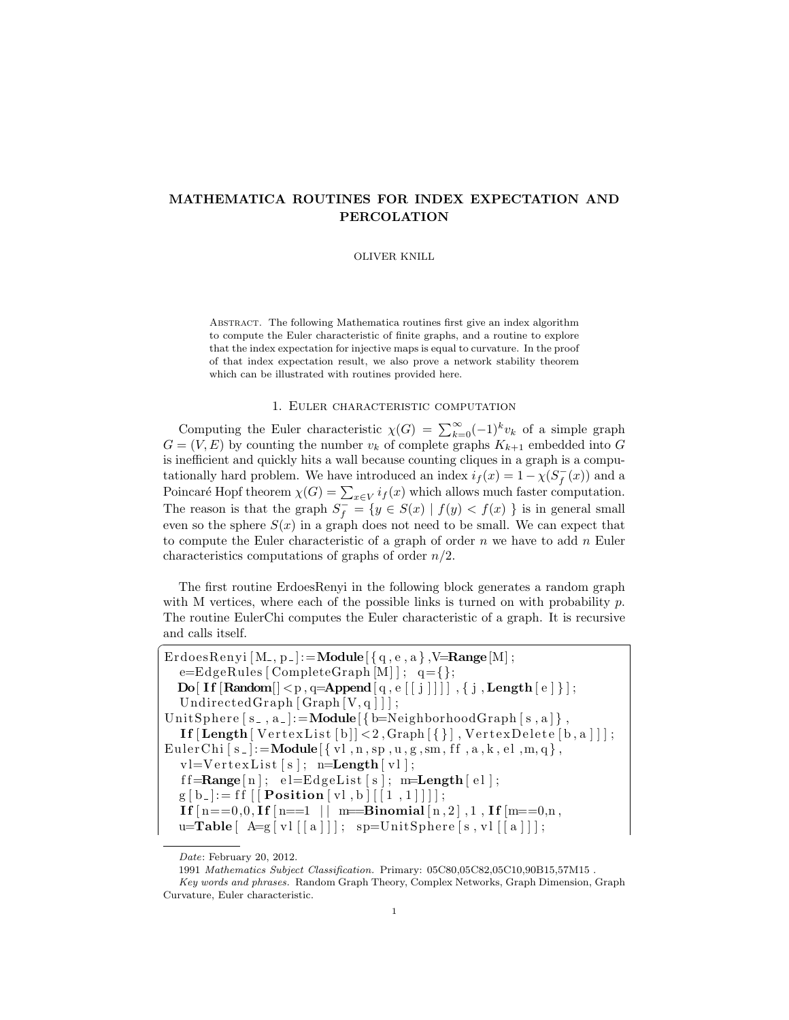# MATHEMATICA ROUTINES FOR INDEX EXPECTATION AND PERCOLATION

## OLIVER KNILL

Abstract. The following Mathematica routines first give an index algorithm to compute the Euler characteristic of finite graphs, and a routine to explore that the index expectation for injective maps is equal to curvature. In the proof of that index expectation result, we also prove a network stability theorem which can be illustrated with routines provided here.

# 1. Euler characteristic computation

Computing the Euler characteristic  $\chi(G) = \sum_{k=0}^{\infty} (-1)^k v_k$  of a simple graph  $G = (V, E)$  by counting the number  $v_k$  of complete graphs  $K_{k+1}$  embedded into G is inefficient and quickly hits a wall because counting cliques in a graph is a computationally hard problem. We have introduced an index  $i_f(x) = 1 - \chi(S_f^-(x))$  and a Poincaré Hopf theorem  $\chi(G) = \sum_{x \in V} i_f(x)$  which allows much faster computation. The reason is that the graph  $S_f^- = \{y \in S(x) \mid f(y) < f(x) \}$  is in general small even so the sphere  $S(x)$  in a graph does not need to be small. We can expect that to compute the Euler characteristic of a graph of order  $n$  we have to add  $n$  Euler characteristics computations of graphs of order  $n/2$ .

The first routine ErdoesRenyi in the following block generates a random graph with M vertices, where each of the possible links is turned on with probability  $p$ . The routine EulerChi computes the Euler characteristic of a graph. It is recursive and calls itself.  $\overline{a}$ 

```
ErdoesRenyi [M_-, p_-]: = Module \{\{q, e, a\}, \forall = Range [M];
    e=EdgeRules [CompleteGraph [M] ] ; q={};
   Do[ If \lceil \text{Random}[\lceil < p, q = \text{Append}[q, e[[j]]]] \rceil, \{ j, \text{Length}[e] \}];
    UndirectedGraph [Graph[V, q]] ;
UnitSphere [s_-, a_-]: = Module \{\mathbf{b}=NeighborhoodGraph [s_-, a_+],
    \textbf{If}\left\lceil \textbf{Length}\left[\, \text{VertexList}\left[\,b\, \right]\right] \right\rangle < 2, \text{Graph}\left[\, \left\{ \, \right\} \right], \text{VertexDelete}\left[\, b\, , a\, \right]\left] \right];
EulerChi [s_-]:=Module [\{ vl, n, sp, u, g, sm, ff, a, k, el, m, q \},v = V \cdot t \cdot xList[s]; \quad n = Length[v1];\text{ff}=\text{Range}[n]; \text{ el}=\text{EdgeList}[s]; \text{ m}=\text{Length}[el];g [ b_{-} ] := ff [ Position [vl, b] [[1, 1)]] ;
    If [n == 0, 0, If [n == 1 | | m = Binomial[n, 2], 1, If [m == 0, n,u=Table \left[ \begin{array}{c} A=g \left[ \text{vl} \left[ \left[ \text{a} \right] \right] \right] \right]; \quad sp=UnitSphere \left[ \text{s}, \text{vl} \left[ \left[ \text{a} \right] \right] \right] \end{array} \right]
```
Date: February 20, 2012.

<sup>1991</sup> Mathematics Subject Classification. Primary: 05C80,05C82,05C10,90B15,57M15 . Key words and phrases. Random Graph Theory, Complex Networks, Graph Dimension, Graph Curvature, Euler characteristic.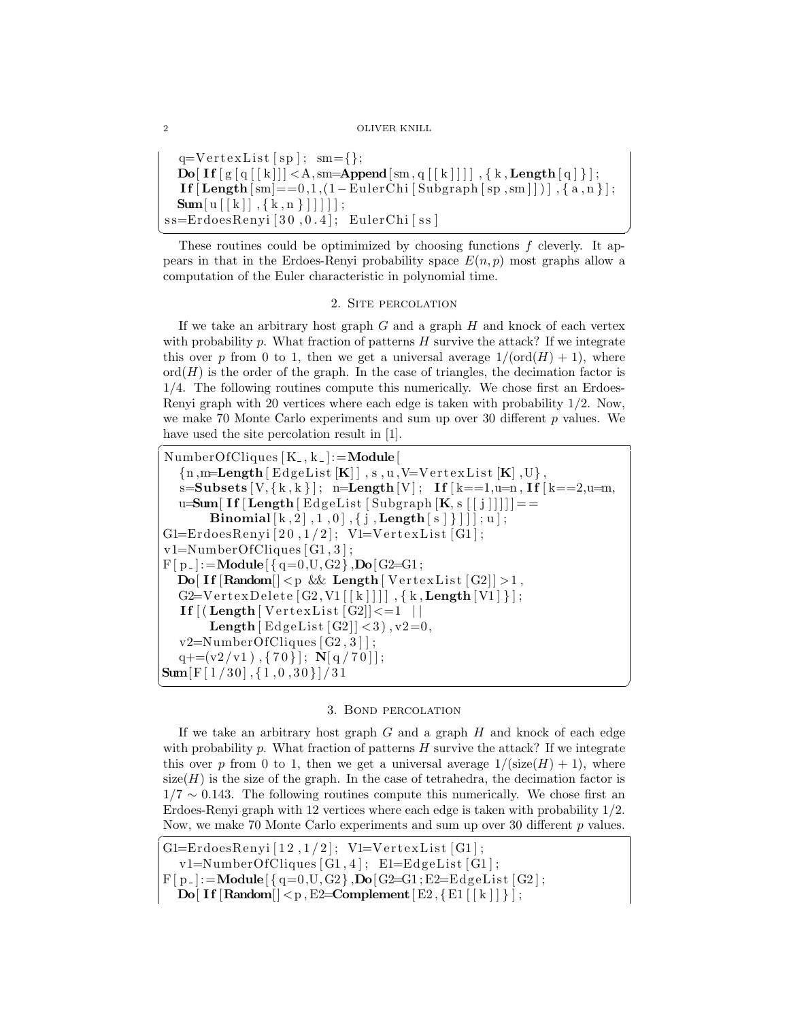#### 2 OLIVER KNILL

```
q=V ert ex L ist \lceil s p \rceil; sm = \lceil \};
  \textbf{Do}[\text{If} [g [q] [k]]] < A, sm=Append[\text{sm}, q [k]]], { k, Length [q] } ];
  If [Length[sm] == 0,1,(1-EulerChi[Subgraph[sp, sm]])], \{a, n\};
  \textbf{Sum}[\text{u}[[k]], \{k, n\}]]]] ;
ss = ErdoesRenyi [30,0.4]; EulerChi [ss]
```
 $\sqrt{2\pi}$   $\frac{1}{2}$   $\frac{1}{2}$   $\frac{1}{2}$   $\frac{1}{2}$   $\frac{1}{2}$   $\frac{1}{2}$   $\frac{1}{2}$   $\frac{1}{2}$   $\frac{1}{2}$   $\frac{1}{2}$   $\frac{1}{2}$   $\frac{1}{2}$   $\frac{1}{2}$   $\frac{1}{2}$   $\frac{1}{2}$   $\frac{1}{2}$   $\frac{1}{2}$   $\frac{1}{2}$   $\frac{1}{2}$   $\frac{1}{2}$   $\frac{1}{2}$  These routines could be optimimized by choosing functions  $f$  cleverly. It appears in that in the Erdoes-Renyi probability space  $E(n, p)$  most graphs allow a computation of the Euler characteristic in polynomial time.

# 2. Site percolation

If we take an arbitrary host graph  $G$  and a graph  $H$  and knock of each vertex with probability p. What fraction of patterns  $H$  survive the attack? If we integrate this over p from 0 to 1, then we get a universal average  $1/(\text{ord}(H) + 1)$ , where  $\mathrm{ord}(H)$  is the order of the graph. In the case of triangles, the decimation factor is 1/4. The following routines compute this numerically. We chose first an Erdoes-Renyi graph with 20 vertices where each edge is taken with probability 1/2. Now, we make 70 Monte Carlo experiments and sum up over 30 different  $p$  values. We have used the site percolation result in  $[1]$ .

```
NumberOfCliques [K_-, k_-]:=\textbf{Module}{n, m=Length [EdgeList[K]], s, u, V=VertexList[K], U},s = Subsets [V, {k, k}] ; n = Length[V] ; If <math>[k == 1, u = n, If <math>[k == 2, u = m]</math>,u=Sum[If [Length | EdgeList | Subgraph | K, s | [j ]]]] =Binomial [k, 2], 1, 0, [j, Length[s]]; u, [i, u];
G1 =ErdoesRenyi [20,1/2]; V1=VertexList [G1];
v1=NumberOfCliques [ G1 , 3 ] ;
F[p_+] := \text{Module}[\{ q=0, U, G2\}, \text{Do}[G2=G1];\textbf{Do}[\text{If}[\text{Random}]] < p \&\&\text{Length}[\text{VertexList}[G2]] > 1,G2=V ert ex Delete [G2, V1 | [ k ] ] ], { k, Length [V1] } };
   \textbf{If} \left[ \left( \textbf{Length} \left[ \textbf{VertexList} \left[ G2 \right] \right] \right] \right] = 1 \right]Length \lceil EdgeList \lceil G2\rceil \mid < 3), v2=0,
   v2=NumberOfCliques [G2,3];
   q+= (v2/v1), {70}]; N[q / 70];
\textbf{Sum}[\text{F}[1/30], \{1, 0, 30\}]/31
```
## 3. Bond percolation

✝ ✆

If we take an arbitrary host graph  $G$  and a graph  $H$  and knock of each edge with probability  $p$ . What fraction of patterns  $H$  survive the attack? If we integrate this over p from 0 to 1, then we get a universal average  $1/(\text{size}(H) + 1)$ , where size $(H)$  is the size of the graph. In the case of tetrahedra, the decimation factor is  $1/7 \sim 0.143$ . The following routines compute this numerically. We chose first an Erdoes-Renyi graph with 12 vertices where each edge is taken with probability 1/2. Now, we make 70 Monte Carlo experiments and sum up over 30 different  $p$  values.

```
G1=ErdoesRenyi [12,1/2]; V1=VertexList [G1];
  v1=NumberOfCliques[G1,4]; E1=EdgeList[G1];F[p_+] := \text{Module}[\{q=0, U, G2\}, \text{Do}[G2=G1; E2=EdgeList[G2];
```

```
Do[ If [Random[] < p, E2=Complement [ E2, {E1} | [ k ] ] } ];
```